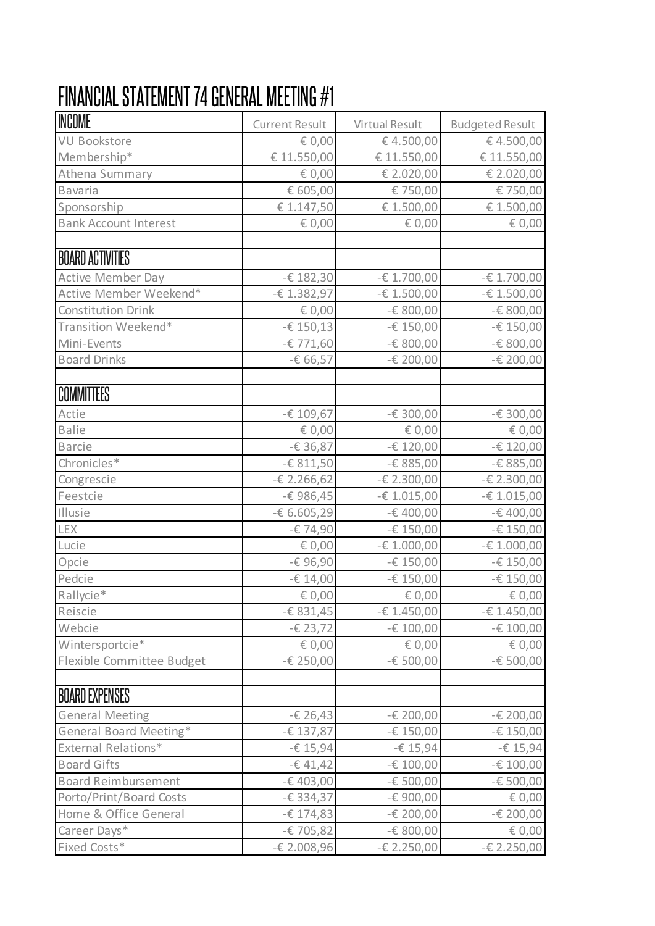## FINANCIAL STATEMENT 74 GENERAL MEETING #1

| INCOME                       | <b>Current Result</b> | Virtual Result | <b>Budgeted Result</b> |
|------------------------------|-----------------------|----------------|------------------------|
| VU Bookstore                 | € 0,00                | €4.500,00      | € 4.500,00             |
| Membership*                  | € 11.550,00           | € 11.550,00    | € 11.550,00            |
| Athena Summary               | € 0,00                | € 2.020,00     | € 2.020,00             |
| <b>Bavaria</b>               | € 605,00              | € 750,00       | € 750,00               |
| Sponsorship                  | € 1.147,50            | € 1.500,00     | € 1.500,00             |
| <b>Bank Account Interest</b> | € 0,00                | € 0,00         | € 0,00                 |
| <b>BOARD ACTIVITIES</b>      |                       |                |                        |
| <b>Active Member Day</b>     | $-E$ 182,30           | $-E 1.700,00$  | $-E 1.700,00$          |
| Active Member Weekend*       | $-E 1.382,97$         | $-E 1.500,00$  | $-E 1.500,00$          |
| <b>Constitution Drink</b>    | € 0,00                | $-E$ 800,00    | $-E$ 800,00            |
| Transition Weekend*          | $-£$ 150,13           | -€ 150,00      | $-E 150,00$            |
| Mini-Events                  | $-E$ 771,60           | $-E$ 800,00    | $-E$ 800,00            |
| <b>Board Drinks</b>          | -€ 66,57              | $-E 200,00$    | $-E 200,00$            |
| COMMITTEES                   |                       |                |                        |
| Actie                        | -€ 109,67             | -€ 300,00      | -€ 300,00              |
| <b>Balie</b>                 | € 0,00                | € 0,00         | € 0,00                 |
| <b>Barcie</b>                | $-£36,87$             | $-E 120,00$    | $-E 120,00$            |
| Chronicles*                  | $-6811,50$            | -€ 885,00      | -€ 885,00              |
| Congrescie                   | $-E$ 2.266,62         | $-E$ 2.300,00  | $-E$ 2.300,00          |
| Feestcie                     | -€ 986,45             | $-E 1.015,00$  | $-£ 1.015,00$          |
| Illusie                      | $-6.605,29$           | $-6400,00$     | -€ 400,00              |
| <b>LEX</b>                   | -€ 74,90              | -€ 150,00      | $-E 150,00$            |
| Lucie                        | € 0,00                | $-E 1.000,00$  | $-E 1.000,00$          |
| Opcie                        | -€ 96,90              | -€ 150,00      | -€ 150,00              |
| Pedcie                       | $-£ 14,00$            | -€ 150,00      | $-E 150,00$            |
| Rallycie*                    | € 0,00                | € 0,00         | € 0,00                 |
| Reiscie                      | $-6831,45$            | $-E$ 1.450,00  | $-E 1.450,00$          |
| Webcie                       | $-E$ 23,72            | -€ 100,00      | $-E 100,00$            |
| Wintersportcie*              | € 0,00                | € 0,00         | € 0,00                 |
| Flexible Committee Budget    | $-E 250,00$           | $-E 500,00$    | -€ 500,00              |
| <b>BOARD EXPENSES</b>        |                       |                |                        |
| <b>General Meeting</b>       | $-E 26,43$            | -€ 200,00      | $-E$ 200,00            |
| General Board Meeting*       | -€ 137,87             | $-E$ 150,00    | -€ 150,00              |
| <b>External Relations*</b>   | $-615,94$             | $-6$ 15,94     | $-E$ 15,94             |
| <b>Board Gifts</b>           | $-641,42$             | $-E 100,00$    | $-E 100,00$            |
| <b>Board Reimbursement</b>   | $-E 403,00$           | -€ 500,00      | -€ 500,00              |
| Porto/Print/Board Costs      | $-6.334,37$           | -€ 900,00      | € 0,00                 |
| Home & Office General        | $-£$ 174,83           | -€ 200,00      | -€ 200,00              |
| Career Days*                 | $-E$ 705,82           | $-E$ 800,00    | € 0,00                 |
| Fixed Costs*                 | -€ 2.008,96           | $-E$ 2.250,00  | $-E$ 2.250,00          |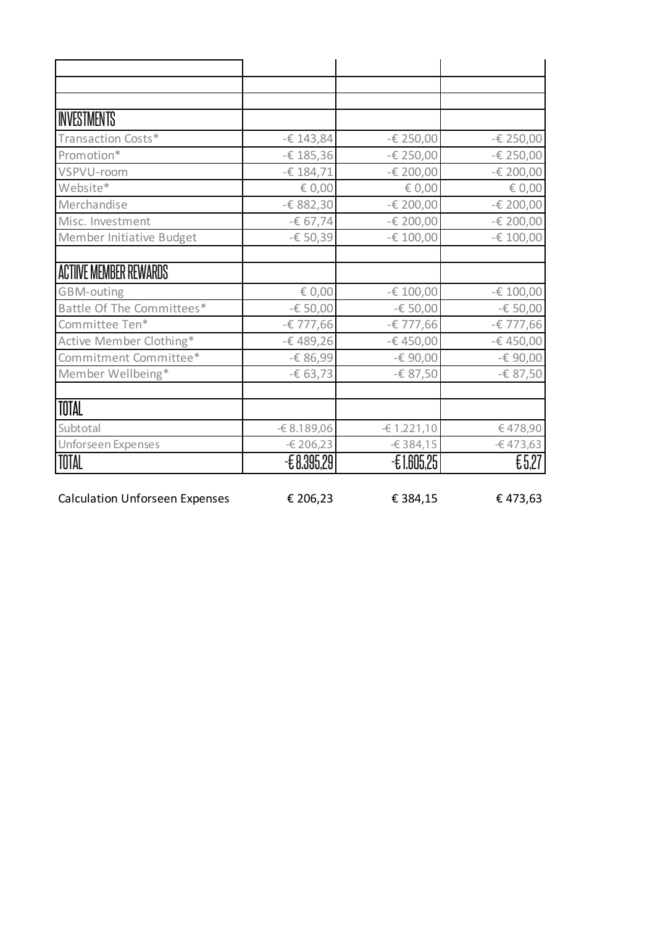| <b>INVESTMENTS</b>        |              |              |             |
|---------------------------|--------------|--------------|-------------|
| Transaction Costs*        | $-£$ 143,84  | -€ 250,00    | -€ 250,00   |
| Promotion*                | -€ 185,36    | -€ 250,00    | -€ 250,00   |
| VSPVU-room                | $-£$ 184,71  | -€ 200,00    | -€ 200,00   |
| Website*                  | € 0,00       | € 0,00       | € 0,00      |
| Merchandise               | -€ 882,30    | -€ 200,00    | -€ 200,00   |
| Misc. Investment          | $-667,74$    | -€ 200,00    | -€ 200,00   |
| Member Initiative Budget  | $-650,39$    | $-E 100,00$  | $-E 100,00$ |
|                           |              |              |             |
| ACTIIVE MEMBER REWARDS    |              |              |             |
| GBM-outing                | € 0,00       | -€ 100,00    | -€ 100,00   |
| Battle Of The Committees* | -€ 50,00     | $-650,00$    | -€ 50,00    |
| Committee Ten*            | -€ 777,66    | -€ 777,66    | -€ 777,66   |
| Active Member Clothing*   | -€489,26     | -€450,00     | -€450,00    |
| Commitment Committee*     | -€ 86,99     | -€ 90,00     | -€ 90,00    |
| Member Wellbeing*         | $-663,73$    | -€ 87,50     | -€ 87,50    |
| TOTAL                     |              |              |             |
| Subtotal                  | $-68.189,06$ | $-61.221,10$ | €478,90     |
| Unforseen Expenses        | $-6206,23$   | $-6384,15$   | $-6473,63$  |
| TOTAL                     | $-68.395.29$ | $-£1.605.25$ | £5,27       |

Calculation Unforseen Expenses  $\epsilon$  206,23  $\epsilon$  384,15  $\epsilon$  473,63